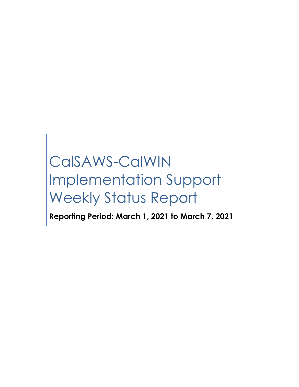# CalSAWS-CalWIN Implementation Support Weekly Status Report

**Reporting Period: March 1, 2021 to March 7, 2021**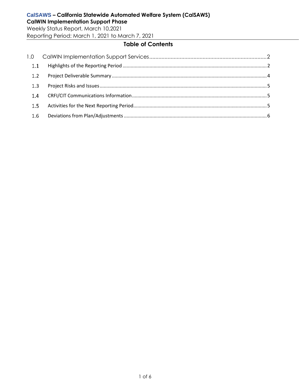Weekly Status Report, March 10,2021 Reporting Period: March 1, 2021 to March 7, 2021

## **Table of Contents**

| 1.1 |  |
|-----|--|
| 1.2 |  |
| 1.3 |  |
| 1.4 |  |
| 1.5 |  |
| 1.6 |  |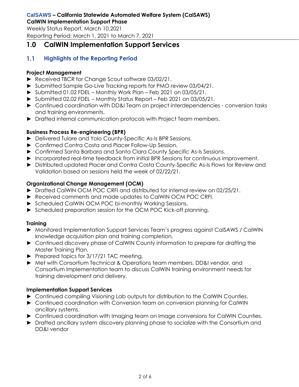Weekly Status Report, March 10,2021 Reporting Period: March 1, 2021 to March 7, 2021

## <span id="page-2-0"></span>**1.0 CalWIN Implementation Support Services**

#### <span id="page-2-1"></span> $1.1$ **Highlights of the Reporting Period**

#### **Project Management**

- ► Received TBCR for Change Scout software 03/02/21.
- ► Submitted Sample Go-Live Tracking reports for PMO review 03/04/21.
- ► Submitted 01.02 FDEL Monthly Work Plan Feb 2021 on 03/05/21.
- ► Submitted 02.02 FDEL Monthly Status Report Feb 2021 on 03/05/21.
- ► Continued coordination with DD&I Team on project interdependencies conversion tasks and training environments.
- ► Drafted internal communication protocols with Project Team members.

### **Business Process Re-engineering (BPR)**

- ► Delivered Tulare and Yolo County-Specific As-Is BPR Sessions.
- ► Confirmed Contra Costa and Placer Follow-Up Session.
- ► Confirmed Santa Barbara and Santa Clara County Specific As-Is Sessions.
- ► Incorporated real-time feedback from initial BPR Sessions for continuous improvement.
- ► Distributed updated Placer and Contra Costa County-Specific As-Is Flows for Review and Validation based on sessions held the week of 02/22/21.

### **Organizational Change Management (OCM)**

- ► Drafted CalWIN OCM POC CRFI and distributed for internal review on 02/25/21.
- ► Received comments and made updates to CalWIN OCM POC CRFI.
- ► Scheduled CalWIN OCM POC bi-monthly Working Sessions.
- ► Scheduled preparation session for the OCM POC Kick-off planning.

## **Training**

- ► Monitored Implementation Support Services Team's progress against CalSAWS / CalWIN knowledge acquisition plan and training completion.
- ► Continued discovery phase of CalWIN County information to prepare for drafting the Master Training Plan.
- ► Prepared topics for 3/17/21 TAC meeting.
- ► Met with Consortium Technical & Operations team members, DD&I vendor, and Consortium Implementation team to discuss CalWIN training environment needs for training development and delivery.

## **Implementation Support Services**

- ► Continued compiling Visioning Lab outputs for distribution to the CalWIN Counties.
- ► Continued coordination with Conversion team on conversion planning for CalWIN ancillary systems.
- ► Continued coordination with Imaging team on Image conversions for CalWIN Counties.
- ► Drafted ancillary system discovery planning phase to socialize with the Consortium and DD&I vendor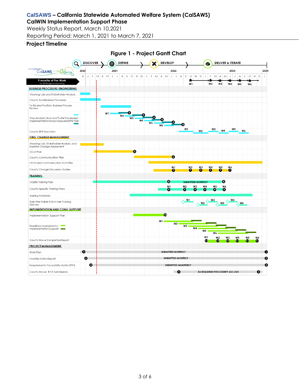# **CalSAWS – California Statewide Automated Welfare System (CalSAWS)**

**CalWIN Implementation Support Phase** Weekly Status Report, March 10,2021

Reporting Period: March 1, 2021 to March 7, 2021

#### **Project Timeline**

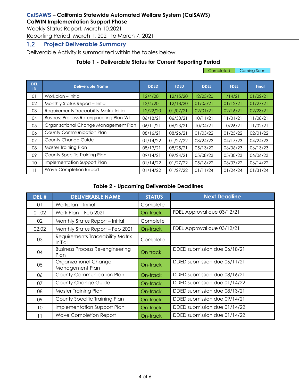Weekly Status Report, March 10,2021

Reporting Period: March 1, 2021 to March 7, 2021

#### <span id="page-4-0"></span> $1.2$ **Project Deliverable Summary**

Deliverable Activity is summarized within the tables below.

## **Table 1 - Deliverable Status for Current Reporting Period**

|                  |                                                |             |             | Coming Soon<br>Completed |             |              |  |
|------------------|------------------------------------------------|-------------|-------------|--------------------------|-------------|--------------|--|
| <b>DEL</b><br>ID | <b>Deliverable Name</b>                        | <b>DDED</b> | <b>FDED</b> | <b>DDEL</b>              | <b>FDEL</b> | <b>Final</b> |  |
| 01               | Workplan – Initial                             | 12/4/20     | 12/15/20    | 12/23/20                 | 1/14/21     | 01/22/21     |  |
| 02               | Monthly Status Report - Initial                | 12/4/20     | 12/18/20    | 01/05/21                 | 01/12/21    | 01/27/21     |  |
| 03               | Requirements Traceability Matrix Initial       | 12/22/20    | 01/07/21    | 02/01/21                 | 02/16/21    | 02/23/21     |  |
| 04               | <b>Business Process Re-engineering Plan-W1</b> | 06/18/21    | 06/30/21    | 10/11/21                 | 11/01/21    | 11/08/21     |  |
| 05               | Organizational Change Management Plan          | 06/11/21    | 06/23/21    | 10/04/21                 | 10/26/21    | 11/02/21     |  |
| 06               | County Communication Plan                      | 08/16/21    | 08/26/21    | 01/03/22                 | 01/25/22    | 02/01/22     |  |
| 07               | <b>County Change Guide</b>                     | 01/14/22    | 01/27/22    | 03/24/23                 | 04/17/23    | 04/24/23     |  |
| 08               | Master Training Plan                           | 08/13/21    | 08/25/21    | 05/13/22                 | 06/06/23    | 06/13/23     |  |
| 09               | County Specific Training Plan                  | 09/14/21    | 09/24/21    | 05/08/23                 | 05/30/23    | 06/06/23     |  |
| 10               | Implementation Support Plan                    | 01/14/22    | 01/27/22    | 05/16/22                 | 06/07/22    | 06/14/22     |  |
| 11               | Wave Completion Report                         | 01/14/22    | 01/27/22    | 01/11/24                 | 01/24/24    | 01/31/24     |  |

#### **Table 2 - Upcoming Deliverable Deadlines**

| DEL #           | <b>DELIVERABLE NAME</b>                        | <b>STATUS</b> | <b>Next Deadline</b>         |
|-----------------|------------------------------------------------|---------------|------------------------------|
| 01              | Workplan - Initial                             | Complete      |                              |
| 01.02           | Work Plan - Feb 2021                           | On-track      | FDEL Approval due 03/12/21   |
| 02              | Monthly Status Report - Initial                | Complete      |                              |
| 02.02           | Monthly Status Report - Feb 2021               | On-track      | FDEL Approval due 03/12/21   |
| 03              | Requirements Traceability Matrix<br>Initial    | Complete      |                              |
| 04              | <b>Business Process Re-engineering</b><br>Plan | On track      | DDED submission due 06/18/21 |
| 05              | Organizational Change<br>Management Plan       | On-track      | DDED submission due 06/11/21 |
| 06              | County Communication Plan                      | On-track      | DDED submission due 08/16/21 |
| 07              | <b>County Change Guide</b>                     | On-track      | DDED submission due 01/14/22 |
| 08              | Master Training Plan                           | On-track      | DDED submission due 08/13/21 |
| 09              | County Specific Training Plan                  | On-track      | DDED submission due 09/14/21 |
| 10 <sup>°</sup> | Implementation Support Plan                    | On-track      | DDED submission due 01/14/22 |
| 11              | <b>Wave Completion Report</b>                  | On-track      | DDED submission due 01/14/22 |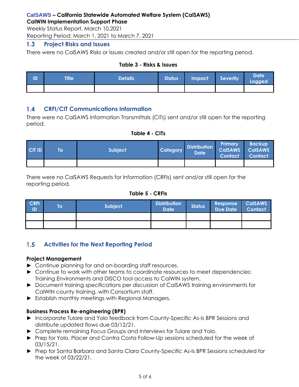Weekly Status Report, March 10,2021 Reporting Period: March 1, 2021 to March 7, 2021

#### <span id="page-5-0"></span> $1.3$ **Project Risks and Issues**

There were no CalSAWS Risks or Issues created and/or still open for the reporting period.

#### **Table 3 - Risks & Issues**

| ID | <b>Title</b> | <b>Details</b> | <b>Status</b> | Impact Severity | <b>Date</b><br>Logged |
|----|--------------|----------------|---------------|-----------------|-----------------------|
|    |              |                |               |                 |                       |

#### <span id="page-5-1"></span>**CRFI/CIT Communications Information**  $1.4$

There were no CalSAWS Information Transmittals (CITs) sent and/or still open for the reporting period.

### **Table 4 - CITs**

| <b>CIT ID</b> | Īо | <b>Subject</b> | <b>Category</b> | Distribution CalSAWS CalSAWS<br><b>Date</b> | Primary<br><b>Contact</b> | <b>Backup</b><br><b>Contact</b> |
|---------------|----|----------------|-----------------|---------------------------------------------|---------------------------|---------------------------------|
|               |    |                |                 |                                             |                           |                                 |

There were no CalSAWS Requests for Information (CRFIs) sent and/or still open for the reporting period.

## **Table 5 - CRFIs**

| <b>CRFI</b><br>ID | Τo | Subject | <b>Distribution</b><br><b>Date</b> | <b>Status</b> | Response<br><b>Due Date</b> | <b>CalSAWS</b><br><b>Contact</b> |
|-------------------|----|---------|------------------------------------|---------------|-----------------------------|----------------------------------|
|                   |    |         |                                    |               |                             |                                  |
|                   |    |         |                                    |               |                             |                                  |

#### <span id="page-5-2"></span> $1.5$ **Activities for the Next Reporting Period**

#### **Project Management**

- ► Continue planning for and on-boarding staff resources.
- ► Continue to work with other teams to coordinate resources to meet dependencies: Training Environments and DISCO tool access to CalWIN system.
- ► Document training specifications per discussion of CalSAWS training environments for CalWIN county training, with Consortium staff.
- ► Establish monthly meetings with Regional Managers.

#### **Business Process Re-engineering (BPR)**

- ► Incorporate Tulare and Yolo feedback from County-Specific As-Is BPR Sessions and distribute updated flows due 03/12/21.
- ► Complete remaining Focus Groups and Interviews for Tulare and Yolo.
- ► Prep for Yolo, Placer and Contra Costa Follow-Up sessions scheduled for the week of 03/15/21.
- ► Prep for Santa Barbara and Santa Clara County-Specific As-Is BPR Sessions scheduled for the week of 03/22/21.